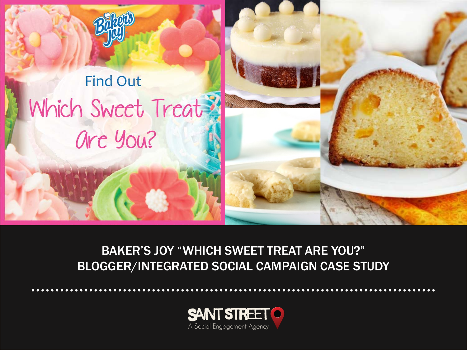



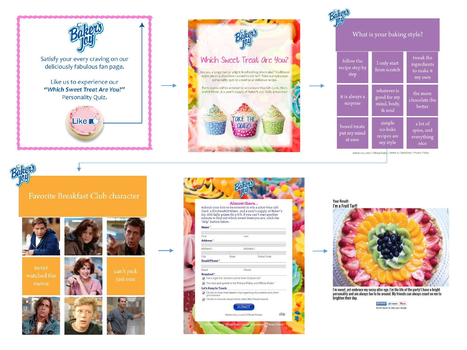